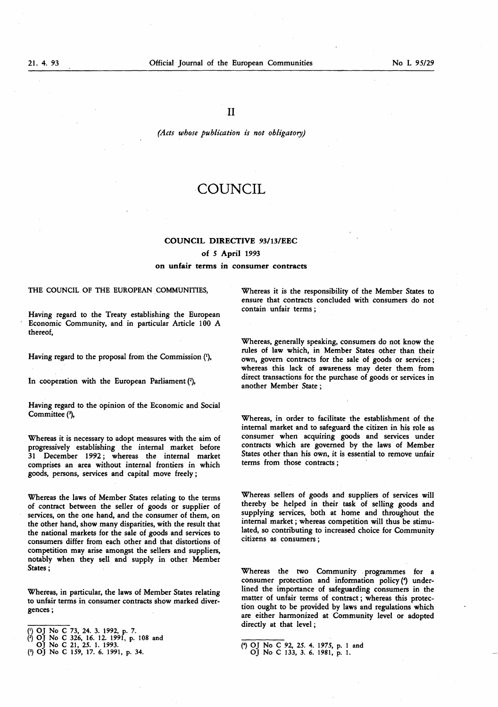(Acts whose publication is not obligatory)

# COUNCIL

# COUNCIL DIRECTIVE 93/13/EEC

# of 5 April 1993

#### on unfair terms in consumer contracts

### THE COUNCIL OF THE EUROPEAN COMMUNITIES,

Having regard to the Treaty establishing the European Economic Community, and in particular Article 100 A thereof,

Having regard to the proposal from the Commission ('),

In cooperation with the European Parliament  $(2)$ ,

Having regard to the opinion of the Economic and Social Committee  $(3)$ ,

Whereas it is necessary to adopt measures with the aim of progressively establishing the internal market before 31 December 1992; whereas the internal market comprises an area without internal frontiers in which goods, persons, services and capital move freely ;

Whereas the laws of Member States relating to the terms of contract between the seller of goods or supplier of services, on the one hand, and the consumer of them, on the other hand, show many disparities, with the result that the national markets for the sale of goods and services to consumers differ from each other and that distortions of competition may arise amongst the sellers and suppliers, notably when they sell and supply in other Member States ;

Whereas, in particular, the laws of Member States relating to unfair terms in consumer contracts show marked divergences ;

Whereas it is the responsibility of the Member States to ensure that contracts concluded with consumers do not contain unfair terms ;

Whereas, generally speaking, consumers do not know the rules of law which, in Member States other than their own, govern contracts for the sale of goods or services ; whereas this lack of awareness may deter them from direct transactions for the purchase of goods or services in another Member State :

whereas, in order to facilitate the establishment of the internal market and to safeguard the citizen in his role as consumer when acquiring goods and services under contracts which are governed by the laws of Member States other than his own, it is essential to remove unfair terms from those contracts ;

Whereas sellers of goods and suppliers of services will thereby be helped in their task of selling goods and supplying services, both at home and throughout the internal market ; whereas competition will thus be stimulated, so contributing to increased choice for Community citizens as consumers ;

Whereas the two Community programmes for a consumer protection and information policy (\*) underlined the importance of safeguarding consumers in the matter of unfair terms of contract ; whereas this protection ought to be provided by laws and regulations which are either harmonized at Community level or adopted directly at that level ;

0 OJ No <sup>C</sup> 92, 25. 4. 1975, p. <sup>1</sup> and OJ No C 133, 3. 6. 1981 , p. <sup>1</sup> .

<sup>(</sup>l) OJ No C 73, 24. 3. 1992, p. 7. 0 OJ No <sup>C</sup> 326, 16. 12. <sup>1991</sup> , p. <sup>108</sup> and OJ No C 21 , 25. <sup>1</sup> . 1993.

<sup>(&</sup>lt;sup>3</sup>) OJ No C 159, 17. 6. 1991, p. 34.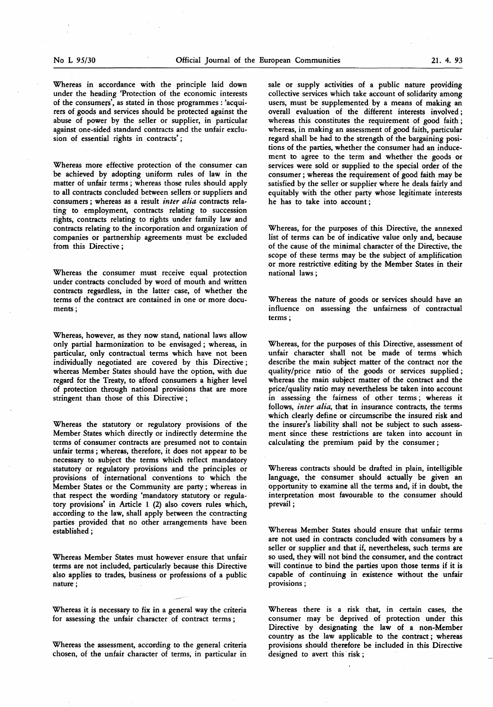Whereas in accordance with the principle laid down under the heading 'Protection of the economic interests of the consumers', as stated in those programmes : 'acquirers of goods and services should be protected against the abuse of power by the seller or supplier, in particular against one-sided standard contracts and the unfair exclusion of essential rights in contracts' ;

Whereas more effective protection of the consumer can be achieved by adopting uniform rules of law in the matter of unfair terms ; whereas those rules should apply to all contracts concluded between sellers or suppliers and consumers ; whereas as a result inter alia contracts relating to employment, contracts relating to succession rights, contracts relating to rights under family law and contracts relating to the incorporation and organization of companies or partnership agreements must be excluded from this Directive ;

Whereas the consumer must receive equal protection under contracts concluded by word of mouth and written contracts regardless, in the latter case, of whether the terms of the contract are contained in one or more documents ;

Whereas, however, as they now stand, national laws allow only partial harmonization to be envisaged ; whereas, in particular, only contractual terms which have not been individually negotiated are covered by this Directive ; whereas Member States should have the option, with due regard for the Treaty, to afford consumers a higher level of protection through national provisions that are more stringent than those of this Directive ;

Whereas the statutory or regulatory provisions of the Member States which directly or indirectly determine the terms of consumer contracts are presumed not to contain unfair terms ; whereas, therefore, it does not appear to be necessary to subject the terms which reflect mandatory statutory or regulatory provisions and the principles or provisions of international conventions to which the Member States or the Community are party ; whereas in that respect the wording 'mandatory statutory or regulatory provisions' in Article <sup>1</sup> (2) also covers rules which, according to the law, shall apply between the contracting parties provided that no other arrangements have been established ;

Whereas Member States must however ensure that unfair terms are not included, particularly because this Directive also applies to trades, business or professions of a public nature ;

Whereas it is necessary to fix in a general way the criteria for assessing the unfair character of contract terms ;

Whereas the assessment, according to the general criteria chosen, of the unfair character of terms, in particular in

sale or supply activities of a public nature providing collective services which take account of solidarity among users, must be supplemented by a means of making an overall evaluation of the different interests involved ; whereas this constitutes the requirement of good faith; whereas, in making an assessment of good faith, particular regard shall be had to the strength of the bargaining positions of the parties, whether the consumer had an inducement to agree to the term and whether the goods or services were sold or supplied to the special order of the consumer ; whereas the requirement of good faith may be satisfied by the seller or supplier where he deals fairly and equitably with the other party whose legitimate interests he has to take into account ;

Whereas, for the purposes of this Directive, the annexed list of terms can be of indicative value only and, because of the cause of the minimal character of the Directive, the scope of these terms may be the subject of amplification or more restrictive editing by the Member States in their national laws ;

Whereas the nature of goods or services should have an influence on assessing the unfairness of contractual terms ;

Whereas, for the purposes of this Directive, assessment of unfair character shall not be made of terms which describe the main subject matter of the contract nor the quality/price ratio of the goods or services supplied ; whereas the main subject matter of the contract and the price/quality ratio may nevertheless be taken into account in assessing the fairness of other terms ; whereas it follows, inter alia, that in insurance contracts, the terms which clearly define or circumscribe the insured risk and the insurer's liability shall not be subject to such assessment since these restrictions are taken into account in calculating the premium paid by the consumer ;

Whereas contracts should be drafted in plain, intelligible language, the consumer should actually be given an opportunity to examine all the terms and, if in doubt, the interpretation most favourable to the consumer should prevail ;

Whereas Member States should ensure that unfair terms are not used in contracts concluded with consumers by a seller or supplier and that if, nevertheless, such terms are so used, they will not bind the consumer, and the contract will continue to bind the parties upon those terms if it is capable of continuing in existence without the unfair provisions ;

Whereas there is a risk that, in certain cases, the consumer may be deprived of protection under this Directive by designating the law of a non-Member country as the law applicable to the contract ; whereas provisions should therefore be included in this Directive designed to avert this risk ;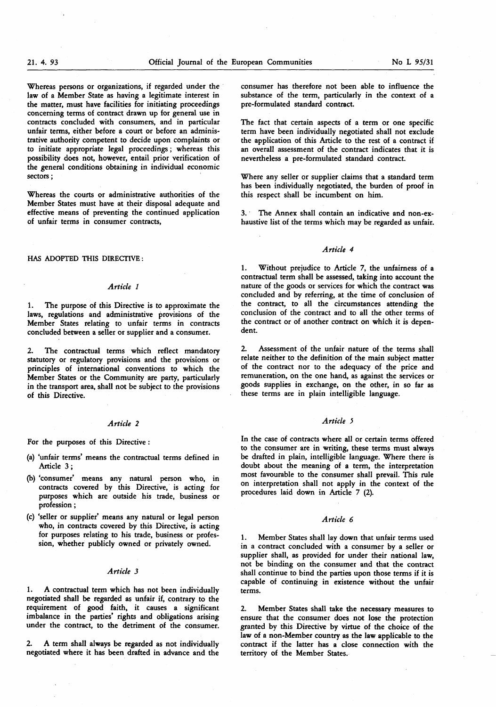Whereas persons or organizations, if regarded under the law of a Member State as having a legitimate interest in the matter, must have facilities for initiating proceedings concerning terms of contract drawn up for general use in contracts concluded with consumers, and in particular unfair terms, either before a court or before an administrative authority competent to decide upon complaints or to initiate appropriate legal proceedings ; whereas this possibility does not, however, entail prior verification of the general conditions obtaining in individual economic sectors ;

Whereas the courts or administrative authorities of the Member States must have at their disposal adequate and effective means of preventing the continued application of unfair terms in consumer contracts,

HAS ADOPTED THIS DIRECTIVE :

# Article <sup>1</sup>

1. The purpose of this Directive is to approximate the laws, regulations and administrative provisions of the Member States relating to unfair terms in contracts concluded between a seller or supplier and a consumer.

2. The contractual terms which reflect mandatory statutory or regulatory provisions and the provisions or principles of international conventions to which the Member States or the Community are party, particularly in the transport area, shall not be subject to the provisions of this Directive.

# Article 2

For the purposes of this Directive :

- (a) 'unfair terms' means the contractual terms defined in Article 3 ;
- (b) 'consumer' means any natural person who, in contracts covered by this Directive, is acting for purposes which are outside his trade, business or profession ;
- (c) 'seller or supplier' means any natural or legal person who, in contracts covered by this Directive, is acting for purposes relating to his trade, business or profession, whether publicly owned or privately owned.

# Article 3

1. A contractual term which has not been individually negotiated shall be regarded as unfair if, contrary to the requirement of good faith, it causes a significant imbalance in the parties' rights and obligations arising under the contract, to the detriment of the consumer.

2. A term shall always be regarded as not individually negotiated where it has been drafted in advance and the consumer has therefore not been able to influence the substance of the term, particularly in the context of a pre-formulated standard contract.

The fact that certain aspects of a term or one specific term have been individually negotiated shall not exclude the application of this Article to the rest of a contract if an overall assessment of the contract indicates that it is nevertheless a pre-formulated standard contract.

Where any seller or supplier claims that a standard term has been individually negotiated, the burden of proof in this respect shall be incumbent on him.

3. The Annex shall contain an indicative and non-exhaustive list of the terms which may be regarded as unfair.

# Article 4

1. Without prejudice to Article 7, the unfairness of a contractual term shall be assessed, taking into account the nature of the goods or services for which the contract was concluded and by referring, at the time of conclusion of the contract, to all the circumstances attending the conclusion of the contract and to all the other terms of the contract or of another contract on which it is dependent.

2. Assessment of the unfair nature of the terms shall relate neither to the definition of the main subject matter of the contract nor to the adequacy of the price and remuneration, on the one hand, as against the services or goods supplies in exchange, on the other, in so far as these terms are in plain intelligible language.

# Article 5

In the case of contracts where all or certain terms offered to the consumer are in writing, these terms must always be drafted in plain, intelligible language. Where there is doubt about the meaning of a term, the interpretation most favourable to the consumer shall prevail. This rule on interpretation shall not apply in the context of the procedures laid down in Article 7 (2).

#### Article 6

Member States shall lay down that unfair terms used in a contract concluded with a consumer by a seller or supplier shall, as provided for under their national law, not be binding on the consumer and that the contract shall continue to bind the parties upon those terms if it is capable of continuing in existence without the unfair terms.

2. Member States shall take the necessary measures to ensure that the consumer does not lose the protection granted by this Directive by virtue of the choice of the law of a non-Member country as the law applicable to the contract if the latter has a close connection with the territory of the Member States.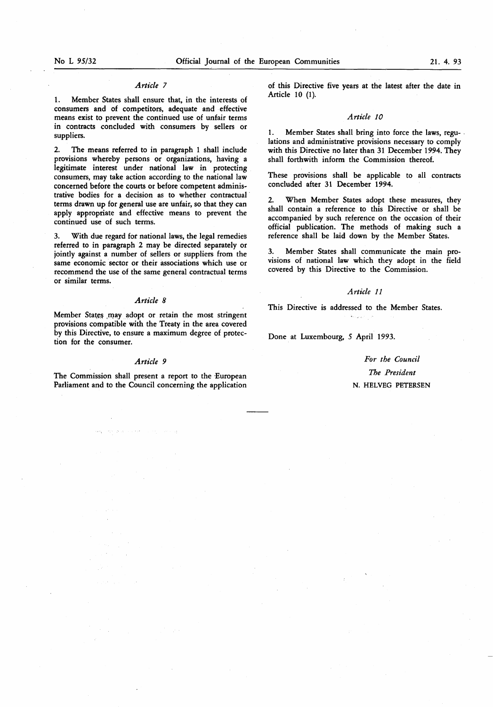# Article 7

1. Member States shall ensure that, in the interests of consumers and of competitors, adequate and effective means exist to prevent the continued use of unfair terms in contracts concluded with consumers by sellers or suppliers.

2. The means referred to in paragraph <sup>1</sup> shall include provisions whereby persons or organizations, having a legitimate interest under national law in protecting consumers, may take action according to the national law concerned before the courts or before competent administrative bodies for a decision as to whether contractual terms drawn up for general use are unfair, so that they can apply appropriate and effective means to prevent the continued use of such terms.

3. With due regard for national laws, the legal remedies referred to in paragraph 2 may be directed separately or jointly against a number of sellers or suppliers from the same economic sector or their associations which use or recommend the use of the same general contractual terms or similar terms.

#### Article 8

Member States may adopt or retain the most stringent provisions compatible with the Treaty in the area covered by this Directive, to ensure a maximum degree of protection for the consumer.

#### Article 9

The Commission shall present a report to the European Parliament and to the Council concerning the application of this Directive five years at the latest after the date in Article 10 (1).

# Article 10

1. Member States shall bring into force the laws, regulations and administrative provisions necessary to comply with this Directive no later than 31 December 1994. They shall forthwith inform the Commission thereof.

These provisions shall be applicable to all contracts concluded after 31 December 1994.

2. When Member States adopt these measures, they shall contain a reference to this Directive or shall be accompanied by such reference on the occasion of their official publication. The methods of making such a reference shall be laid down by the Member States.

3. Member States shall communicate the main provisions of national law which they adopt in the field covered by this Directive to the Commission.

#### Article 11

This Directive is addressed to the Member States.

Done at Luxembourg, 5 April 1993.

# For the Council The President N. HELVEG PETERSEN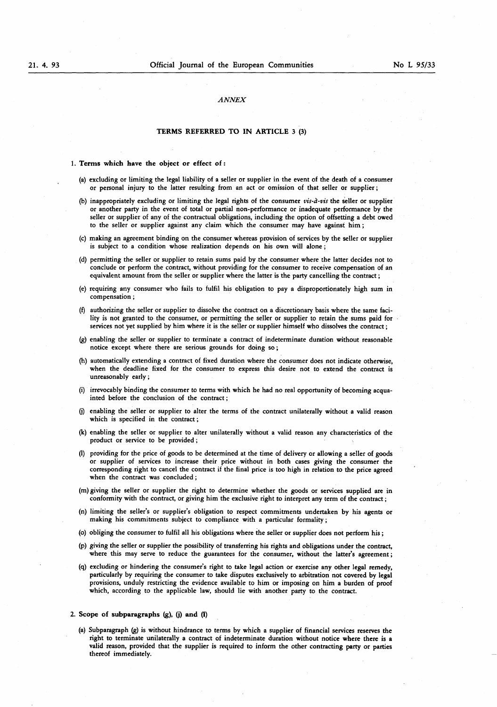#### ANNEX

#### TERMS REFERRED TO IN ARTICLE <sup>3</sup> (3)

1. Terms which have the object or effect of:

- (a) excluding or limiting the legal liability of a seller or supplier in the event of the death of a consumer or personal injury to the latter resulting from an act or omission of that seller or supplier ;
- (b) inappropriately excluding or limiting the legal rights of the consumer  $vis-d-vis$  the seller or supplier or another party in the event of total or partial non-performance or inadequate performance by the seller or supplier of any of the contractual obligations, including the option of offsetting a debt owed to the seller or supplier against any claim which the consumer may have against him ;
- (c) making an agreement binding on the consumer whereas provision of services by the seller or supplier is subject to a condition whose realization depends on his own will alone ;
- (d) permitting the seller or supplier to retain sums paid by the consumer where the latter decides not to conclude or perform the contract, without providing for the consumer to receive compensation of an equivalent amount from the seller or supplier where the latter is the party cancelling the contract ;
- (e) requiring any consumer who fails to fulfil his obligation to pay a disproportionately high sum in compensation ;
- (f) authorizing the seller or supplier to dissolve the contract on a discretionary basis where the same facility is not granted to the consumer, or permitting the seller or supplier to retain the sums paid for services not yet supplied by him where it is the seller or supplier himself who dissolves the contract ;
- (g) enabling the seller or supplier to terminate a contract of indeterminate duration without reasonable notice except where there are serious grounds for doing so ;
- (h) automatically extending a contract of fixed duration where the consumer does not indicate otherwise, when the deadline fixed for the consumer to express this desire not to extend the contract is unreasonably early ;
- (i) irrevocably binding the consumer to terms with which he had no real opportunity of becoming acquainted before the conclusion of the contract ;
- (j) enabling the seller or supplier to alter the terms of the contract unilaterally without a valid reason which is specified in the contract ;
- (k) enabling the seller or supplier to alter unilaterally without a valid reason any characteristics of the product or service to be provided ;
- providing for the price of goods to be determined at the time of delivery or allowing a seller of goods or supplier of services to increase their price without in both cases giving the consumer the corresponding right to cancel the contract if the final price is too high in relation to the price agreed when the contract was concluded;
- (m) giving the seller or supplier the right to determine whether the goods or services supplied are in conformity with the contract, or giving him the exclusive right to interpret any term of the contract ;
- (n) limiting the seller's or supplier's obligation to respect commitments undertaken by his agents or making his commitments subject to compliance with a particular formality ;
- (o) obliging the consumer to fulfil all his obligations where the seller or supplier does not perform his ;
- (p) giving the seller or supplier the possibility of transferring his rights and obligations under the contract, where this may serve to reduce the guarantees for the consumer, without the latter's agreement;
- (q) excluding or hindering the consumer's right to take legal action or exercise any other legal remedy, particularly by requiring the consumer to take disputes exclusively to arbitration not covered by legal provisions, unduly restricting the evidence available to him or imposing on him a burden of proof which, according to the applicable law, should lie with another party to the contract.

#### 2. Scope of subparagraphs (g), (j) and (1)

(a) Subparagraph (g) is without hindrance to terms by which a supplier of financial services reserves the right to terminate unilaterally a contract of indeterminate duration without notice where there is a valid reason, provided that the supplier is required to inform the other contracting party or parties thereof immediately.